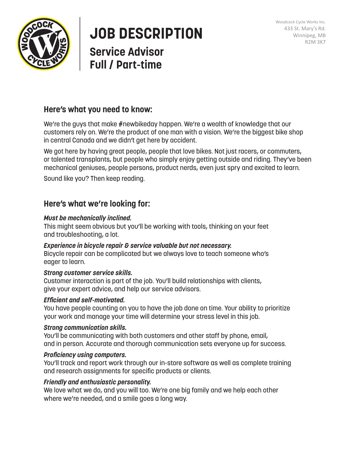



# **JOB DESCRIPTION**

# **Service Advisor Full / Part-time**

# **Here's what you need to know:**

We're the guys that make #newbikeday happen. We're a wealth of knowledge that our customers rely on. We're the product of one man with a vision. We're the biggest bike shop in central Canada and we didn't get here by accident.

We got here by having great people, people that love bikes. Not just racers, or commuters, or talented transplants, but people who simply enjoy getting outside and riding. They've been mechanical geniuses, people persons, product nerds, even just spry and excited to learn.

Sound like you? Then keep reading.

## **Here's what we're looking for:**

#### *Must be mechanically inclined.*

This might seem obvious but you'll be working with tools, thinking on your feet and troubleshooting, a lot.

#### *Experience in bicycle repair & service valuable but not necessary.*

Bicycle repair can be complicated but we always love to teach someone who's eager to learn.

#### *Strong customer service skills.*

Customer interaction is part of the job. You'll build relationships with clients, give your expert advice, and help our service advisors.

#### *Efficient and self-motivated.*

You have people counting on you to have the job done on time. Your ability to prioritize your work and manage your time will determine your stress level in this job.

#### *Strong communication skills.*

You'll be communicating with both customers and other staff by phone, email, and in person. Accurate and thorough communication sets everyone up for success.

#### *Proficiency using computers.*

You'll track and report work through our in-store software as well as complete training and research assignments for specific products or clients.

#### *Friendly and enthusiastic personality.*

We love what we do, and you will too. We're one big family and we help each other where we're needed, and a smile goes a long way.